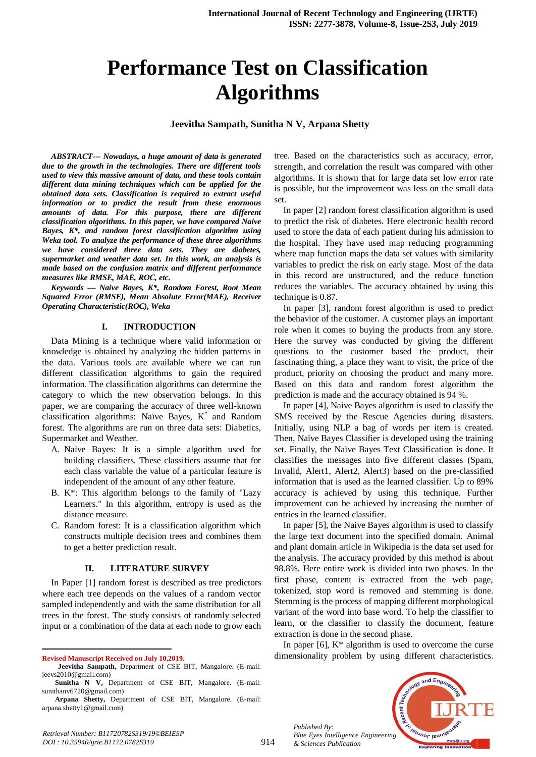# **Performance Test on Classification Algorithms**

## **Jeevitha Sampath, Sunitha N V, Arpana Shetty**

*ABSTRACT--- Nowadays, a huge amount of data is generated due to the growth in the technologies. There are different tools used to view this massive amount of data, and these tools contain different data mining techniques which can be applied for the obtained data sets. Classification is required to extract useful information or to predict the result from these enormous amounts of data. For this purpose, there are different classification algorithms. In this paper, we have compared Naive Bayes, K\*, and random forest classification algorithm using Weka tool. To analyze the performance of these three algorithms we have considered three data sets. They are diabetes, supermarket and weather data set. In this work, an analysis is made based on the confusion matrix and different performance measures like RMSE, MAE, ROC, etc.*

*Keywords — Naive Bayes, K\*, Random Forest, Root Mean Squared Error (RMSE), Mean Absolute Error(MAE), Receiver Operating Characteristic(ROC), Weka*

#### **I. INTRODUCTION**

Data Mining is a technique where valid information or knowledge is obtained by analyzing the hidden patterns in the data. Various tools are available where we can run different classification algorithms to gain the required information. The classification algorithms can determine the category to which the new observation belongs. In this paper, we are comparing the accuracy of three well-known classification algorithms: Naïve Bayes, K\* and Random forest. The algorithms are run on three data sets: Diabetics, Supermarket and Weather.

- A. Naïve Bayes: It is a simple algorithm used for building classifiers. These classifiers assume that for each class variable the value of a particular feature is independent of the amount of any other feature.
- B. K\*: This algorithm belongs to the family of "Lazy Learners." In this algorithm, entropy is used as the distance measure.
- C. Random forest: It is a classification algorithm which constructs multiple decision trees and combines them to get a better prediction result.

## **II. LITERATURE SURVEY**

In Paper [1] random forest is described as tree predictors where each tree depends on the values of a random vector sampled independently and with the same distribution for all trees in the forest. The study consists of randomly selected input or a combination of the data at each node to grow each

**Revised Manuscript Received on July 10,2019.**

 $\overline{a}$ 

tree. Based on the characteristics such as accuracy, error, strength, and correlation the result was compared with other algorithms. It is shown that for large data set low error rate is possible, but the improvement was less on the small data set.

In paper [2] random forest classification algorithm is used to predict the risk of diabetes. Here electronic health record used to store the data of each patient during his admission to the hospital. They have used map reducing programming where map function maps the data set values with similarity variables to predict the risk on early stage. Most of the data in this record are unstructured, and the reduce function reduces the variables. The accuracy obtained by using this technique is 0.87.

In paper [3], random forest algorithm is used to predict the behavior of the customer. A customer plays an important role when it comes to buying the products from any store. Here the survey was conducted by giving the different questions to the customer based the product, their fascinating thing, a place they want to visit, the price of the product, priority on choosing the product and many more. Based on this data and random forest algorithm the prediction is made and the accuracy obtained is 94 %.

In paper [4], Naive Bayes algorithm is used to classify the SMS received by the Rescue Agencies during disasters. Initially, using NLP a bag of words per item is created. Then, Naïve Bayes Classifier is developed using the training set. Finally, the Naïve Bayes Text Classification is done. It classifies the messages into five different classes (Spam, Invalid, Alert1, Alert2, Alert3) based on the pre-classified information that is used as the learned classifier. Up to 89% accuracy is achieved by using this technique. Further improvement can be achieved by increasing the number of entries in the learned classifier.

In paper [5], the Naive Bayes algorithm is used to classify the large text document into the specified domain. Animal and plant domain article in Wikipedia is the data set used for the analysis. The accuracy provided by this method is about 98.8%. Here entire work is divided into two phases. In the first phase, content is extracted from the web page, tokenized, stop word is removed and stemming is done. Stemming is the process of mapping different morphological variant of the word into base word. To help the classifier to learn, or the classifier to classify the document, feature extraction is done in the second phase.

In paper  $[6]$ ,  $K^*$  algorithm is used to overcome the curse dimensionality problem by using different characteristics.



*Published By: Blue Eyes Intelligence Engineering & Sciences Publication* 

914

**Jeevitha Sampath,** Department of CSE BIT, Mangalore. (E-mail: jeevs2010@gmail.com)

**Sunitha N V,** Department of CSE BIT, Mangalore. (E-mail: sunithanv6720@gmail.com)

**Arpana Shetty,** Department of CSE BIT, Mangalore. (E-mail: arpana.shetty1@gmail.com)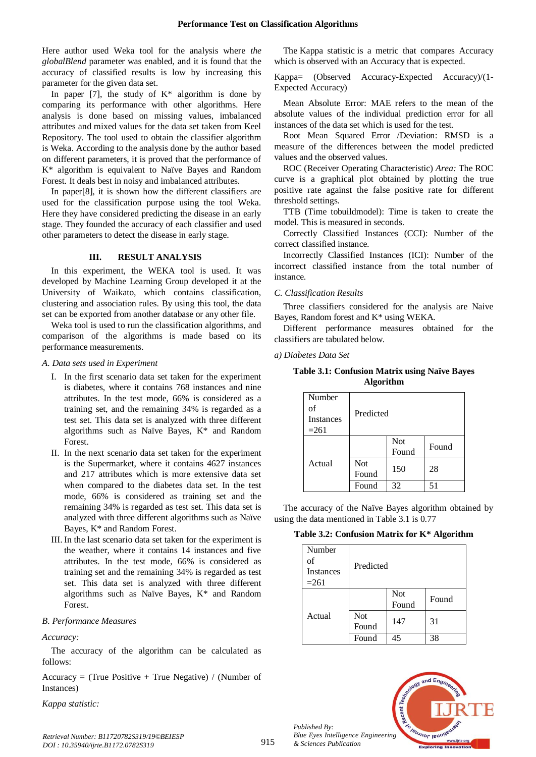Here author used Weka tool for the analysis where *the globalBlend* parameter was enabled, and it is found that the accuracy of classified results is low by increasing this parameter for the given data set.

In paper [7], the study of  $K^*$  algorithm is done by comparing its performance with other algorithms. Here analysis is done based on missing values, imbalanced attributes and mixed values for the data set taken from Keel Repository. The tool used to obtain the classifier algorithm is Weka. According to the analysis done by the author based on different parameters, it is proved that the performance of K\* algorithm is equivalent to Naïve Bayes and Random Forest. It deals best in noisy and imbalanced attributes.

In paper[8], it is shown how the different classifiers are used for the classification purpose using the tool Weka. Here they have considered predicting the disease in an early stage. They founded the accuracy of each classifier and used other parameters to detect the disease in early stage.

### **III. RESULT ANALYSIS**

In this experiment, the WEKA tool is used. It was developed by Machine Learning Group developed it at the University of Waikato, which contains classification, clustering and association rules. By using this tool, the data set can be exported from another database or any other file.

Weka tool is used to run the classification algorithms, and comparison of the algorithms is made based on its performance measurements.

#### *A. Data sets used in Experiment*

- I. In the first scenario data set taken for the experiment is diabetes, where it contains 768 instances and nine attributes. In the test mode, 66% is considered as a training set, and the remaining 34% is regarded as a test set. This data set is analyzed with three different algorithms such as Naïve Bayes, K\* and Random Forest.
- II. In the next scenario data set taken for the experiment is the Supermarket, where it contains 4627 instances and 217 attributes which is more extensive data set when compared to the diabetes data set. In the test mode, 66% is considered as training set and the remaining 34% is regarded as test set. This data set is analyzed with three different algorithms such as Naïve Bayes, K\* and Random Forest.
- III. In the last scenario data set taken for the experiment is the weather, where it contains 14 instances and five attributes. In the test mode, 66% is considered as training set and the remaining 34% is regarded as test set. This data set is analyzed with three different algorithms such as Naïve Bayes, K\* and Random Forest.

## *B. Performance Measures*

#### *Accuracy:*

The accuracy of the algorithm can be calculated as follows:

Accuracy = (True Positive + True Negative) / (Number of Instances)

*Kappa statistic:*

The Kappa statistic is a metric that compares Accuracy which is observed with an Accuracy that is expected.

Kappa= (Observed Accuracy-Expected Accuracy)/(1- Expected Accuracy)

Mean Absolute Error: MAE refers to the mean of the absolute values of the individual prediction error for all instances of the data set which is used for the test.

Root Mean Squared Error /Deviation: RMSD is a measure of the differences between the model predicted values and the observed values.

ROC (Receiver Operating Characteristic) *Area:* The ROC curve is a graphical plot obtained by plotting the [true](https://en.wikipedia.org/wiki/True_positive_rate)  [positive rate](https://en.wikipedia.org/wiki/True_positive_rate) against the [false positive rate](https://en.wikipedia.org/wiki/False_positive_rate) for different threshold settings.

TTB (Time tobuildmodel): Time is taken to create the model. This is measured in seconds.

Correctly Classified Instances (CCI): Number of the correct classified instance.

Incorrectly Classified Instances (ICI): Number of the incorrect classified instance from the total number of instance.

## *C. Classification Results*

Three classifiers considered for the analysis are Naive Bayes, Random forest and K\* using WEKA.

Different performance measures obtained for the classifiers are tabulated below.

#### *a) Diabetes Data Set*

**Table 3.1: Confusion Matrix using Naïve Bayes Algorithm**

| Number<br>of<br><b>Instances</b><br>$=261$ | Predicted           |                     |       |
|--------------------------------------------|---------------------|---------------------|-------|
|                                            |                     | <b>Not</b><br>Found | Found |
| Actual                                     | <b>Not</b><br>Found | 150                 | 28    |
|                                            | Found               | 32                  | 51    |

The accuracy of the Naïve Bayes algorithm obtained by using the data mentioned in Table 3.1 is 0.77

|  | Table 3.2: Confusion Matrix for K* Algorithm |  |  |  |  |
|--|----------------------------------------------|--|--|--|--|
|--|----------------------------------------------|--|--|--|--|

| Number<br>of<br><b>Instances</b><br>$=261$ | Predicted           |                     |       |
|--------------------------------------------|---------------------|---------------------|-------|
|                                            |                     | <b>Not</b><br>Found | Found |
| Actual                                     | <b>Not</b><br>Found | 147                 | 31    |
|                                            | Found               | 45                  | 38    |



 $ndF<sub>r</sub>$ cent Teumor leud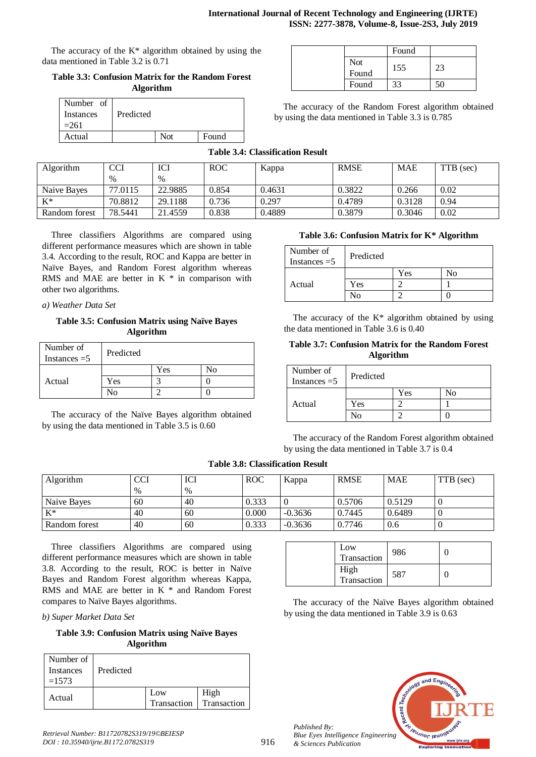The accuracy of the  $K^*$  algorithm obtained by using the data mentioned in Table 3.2 is 0.71

**Table 3.3: Confusion Matrix for the Random Forest Algorithm**

| Number of<br>Instances<br>$=261$ | Predicted |     |       |
|----------------------------------|-----------|-----|-------|
| Actual                           |           | Not | Found |

|              | Found |  |
|--------------|-------|--|
| Not<br>Found | 155   |  |
| Found        | 33    |  |

The accuracy of the Random Forest algorithm obtained by using the data mentioned in Table 3.3 is 0.785

# **Table 3.4: Classification Result**

| Algorithm     | <b>CCI</b> | ICI     | <b>ROC</b> | Kappa  | <b>RMSE</b> | <b>MAE</b> | TTB (sec) |
|---------------|------------|---------|------------|--------|-------------|------------|-----------|
|               | $\%$       | $\%$    |            |        |             |            |           |
| Naive Bayes   | 77.0115    | 22.9885 | 0.854      | 0.4631 | 0.3822      | 0.266      | 0.02      |
| $K^*$         | 70.8812    | 29.1188 | 0.736      | 0.297  | 0.4789      | 0.3128     | 0.94      |
| Random forest | 78.5441    | 21.4559 | 0.838      | 0.4889 | 0.3879      | 0.3046     | 0.02      |

Three classifiers Algorithms are compared using different performance measures which are shown in table 3.4. According to the result, ROC and Kappa are better in Naïve Bayes, and Random Forest algorithm whereas RMS and MAE are better in  $K *$  in comparison with other two algorithms.

*a) Weather Data Set*

**Table 3.5: Confusion Matrix using Naïve Bayes Algorithm**

| Number of<br>Instances $=5$ | Predicted |     |    |
|-----------------------------|-----------|-----|----|
|                             |           | Yes | No |
| Actual                      | Yes       |     |    |
|                             | √օ        |     |    |

The accuracy of the Naïve Bayes algorithm obtained by using the data mentioned in Table 3.5 is 0.60

# **Table 3.6: Confusion Matrix for K\* Algorithm**

| Number of<br>Instances $=5$ | Predicted |     |    |
|-----------------------------|-----------|-----|----|
|                             |           | Yes | N٥ |
| Actual                      | Yes       |     |    |
|                             | י∩וי      |     |    |

The accuracy of the  $K^*$  algorithm obtained by using the data mentioned in Table 3.6 is 0.40

## **Table 3.7: Confusion Matrix for the Random Forest Algorithm**

| Number of<br>Instances $=5$ | Predicted |     |    |
|-----------------------------|-----------|-----|----|
|                             |           | Yes | No |
| Actual                      | Yes       |     |    |
|                             | ง∩        |     |    |

The accuracy of the Random Forest algorithm obtained by using the data mentioned in Table 3.7 is 0.4

 $Transaction$  986 0

## **Table 3.8: Classification Result**

| Algorithm     | CCI           | ICI  | <b>ROC</b> | Kappa     | <b>RMSE</b> | <b>MAE</b> | TTB (sec) |
|---------------|---------------|------|------------|-----------|-------------|------------|-----------|
|               | $\frac{0}{0}$ | $\%$ |            |           |             |            |           |
| Naive Bayes   | 60            | 40   | 0.333      |           | 0.5706      | 0.5129     |           |
| $K^*$         | 40            | 60   | 0.000      | $-0.3636$ | 0.7445      | 0.6489     |           |
| Random forest | 40            | 60   | 0.333      | $-0.3636$ | 0.7746      | 0.6        |           |

Three classifiers Algorithms are compared using different performance measures which are shown in table 3.8. According to the result, ROC is better in Naïve Bayes and Random Forest algorithm whereas Kappa, RMS and MAE are better in K \* and Random Forest compares to Naïve Bayes algorithms.

*b) Super Market Data Set*

**Table 3.9: Confusion Matrix using Naïve Bayes Algorithm**

| Number of<br>Instances<br>$=1573$ | Predicted |                    |                     |
|-----------------------------------|-----------|--------------------|---------------------|
| Actual                            |           | Low<br>Transaction | High<br>Transaction |

*Retrieval Number: B11720782S319/19©BEIESP DOI : 10.35940/ijrte.B1172.0782S319*

| rign<br>Transaction | 587                                                                                                    |  |
|---------------------|--------------------------------------------------------------------------------------------------------|--|
|                     | The accuracy of the Naïve Bayes algorithm obtained<br>by using the data mentioned in Table 3.9 is 0.63 |  |

Low

 $\overline{\text{H}}$ 



*Published By: Blue Eyes Intelligence Engineering & Sciences Publication*